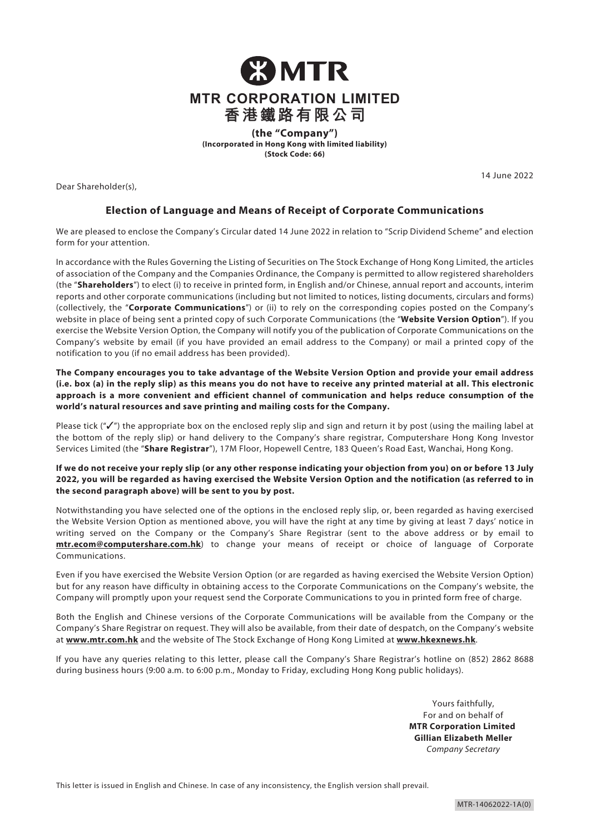

**(Incorporated in Hong Kong with limited liability) (Stock Code: 66)**

Dear Shareholder(s),

14 June 2022

# **Election of Language and Means of Receipt of Corporate Communications**

We are pleased to enclose the Company's Circular dated 14 June 2022 in relation to "Scrip Dividend Scheme" and election form for your attention.

In accordance with the Rules Governing the Listing of Securities on The Stock Exchange of Hong Kong Limited, the articles of association of the Company and the Companies Ordinance, the Company is permitted to allow registered shareholders (the "**Shareholders**") to elect (i) to receive in printed form, in English and/or Chinese, annual report and accounts, interim reports and other corporate communications (including but not limited to notices, listing documents, circulars and forms) (collectively, the "**Corporate Communications**") or (ii) to rely on the corresponding copies posted on the Company's website in place of being sent a printed copy of such Corporate Communications (the "**Website Version Option**"). If you exercise the Website Version Option, the Company will notify you of the publication of Corporate Communications on the Company's website by email (if you have provided an email address to the Company) or mail a printed copy of the notification to you (if no email address has been provided).

**The Company encourages you to take advantage of the Website Version Option and provide your email address (i.e. box (a) in the reply slip) as this means you do not have to receive any printed material at all. This electronic approach is a more convenient and efficient channel of communication and helps reduce consumption of the world's natural resources and save printing and mailing costs for the Company.**

Please tick ("√") the appropriate box on the enclosed reply slip and sign and return it by post (using the mailing label at the bottom of the reply slip) or hand delivery to the Company's share registrar, Computershare Hong Kong Investor Services Limited (the "**Share Registrar**"), 17M Floor, Hopewell Centre, 183 Queen's Road East, Wanchai, Hong Kong.

**If we do not receive your reply slip (or any other response indicating your objection from you) on or before 13 July 2022, you will be regarded as having exercised the Website Version Option and the notification (as referred to in the second paragraph above) will be sent to you by post.** 

Notwithstanding you have selected one of the options in the enclosed reply slip, or, been regarded as having exercised the Website Version Option as mentioned above, you will have the right at any time by giving at least 7 days' notice in writing served on the Company or the Company's Share Registrar (sent to the above address or by email to **mtr.ecom@computershare.com.hk**) to change your means of receipt or choice of language of Corporate Communications.

Even if you have exercised the Website Version Option (or are regarded as having exercised the Website Version Option) but for any reason have difficulty in obtaining access to the Corporate Communications on the Company's website, the Company will promptly upon your request send the Corporate Communications to you in printed form free of charge.

Both the English and Chinese versions of the Corporate Communications will be available from the Company or the Company's Share Registrar on request. They will also be available, from their date of despatch, on the Company's website at **[www.mtr.com.hk](https://www.mtr.com.hk/en/customer/main/index.html?notice=read)** and the website of The Stock Exchange of Hong Kong Limited at **[www.hkexnews.hk](https://www.hkexnews.hk/index.htm)**.

If you have any queries relating to this letter, please call the Company's Share Registrar's hotline on (852) 2862 8688 during business hours (9:00 a.m. to 6:00 p.m., Monday to Friday, excluding Hong Kong public holidays).

> Yours faithfully, For and on behalf of **MTR Corporation Limited Gillian Elizabeth Meller** *Company Secretary*